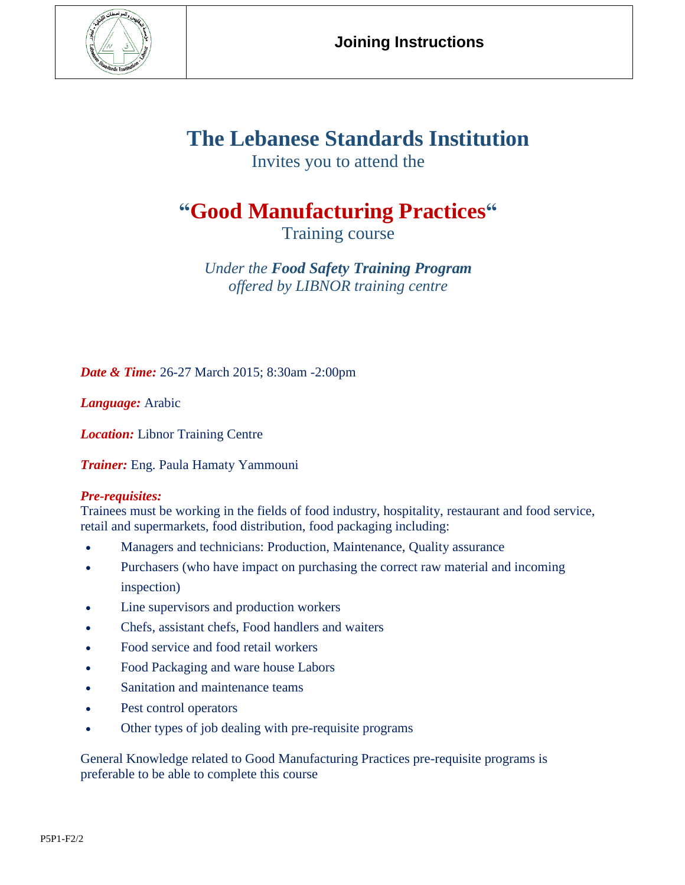

# **The Lebanese Standards Institution**

Invites you to attend the

# **"Good Manufacturing Practices"**

Training course

*Under the Food Safety Training Program offered by LIBNOR training centre*

*Date & Time:* 26-27 March 2015; 8:30am -2:00pm

*Language:* Arabic

*Location:* Libnor Training Centre

*Trainer:* Eng. Paula Hamaty Yammouni

## *Pre-requisites:*

Trainees must be working in the fields of food industry, hospitality, restaurant and food service, retail and supermarkets, food distribution, food packaging including:

- Managers and technicians: Production, Maintenance, Quality assurance
- Purchasers (who have impact on purchasing the correct raw material and incoming inspection)
- Line supervisors and production workers
- Chefs, assistant chefs, Food handlers and waiters
- Food service and food retail workers
- Food Packaging and ware house Labors
- Sanitation and maintenance teams
- Pest control operators
- Other types of job dealing with pre-requisite programs

General Knowledge related to Good Manufacturing Practices pre-requisite programs is preferable to be able to complete this course